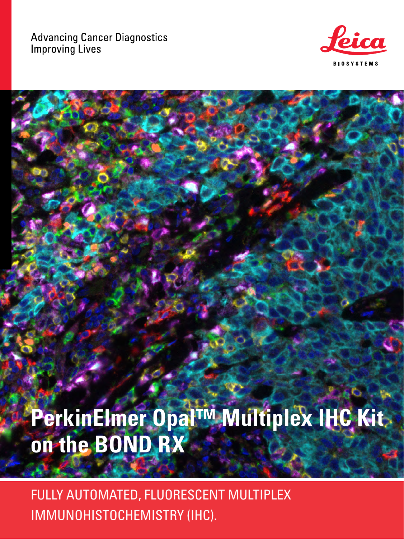### **Advancing Cancer Diagnostics Improving Lives**



# PerkinElmer Opal™ Multiplex IHC Kita on the BOND RX

FULLY AUTOMATED, FLUORESCENT MULTIPLEX IMMUNOHISTOCHEMISTRY (IHC).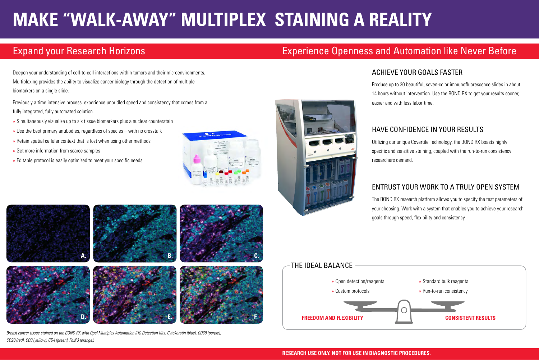*Breast cancer tissue stained on the BOND RX with Opal Multiplex Automation IHC Detection Kits. Cytokeratin (blue), CD68 (purple), CD20 (red), CD8 (yellow), CD4 (green), FoxP3 (orange).*



# THE IDEAL BALANCE » Open detection/reagents » Custom protocols **FREEDOM AND FLEXIBILITY**

### **RESEARCH USE ONLY. NOT FOR USE IN DIAGNOSTIC PROCEDURES.**



# **MAKE "WALK-AWAY" MULTIPLEX STAINING A REALITY**

# Expand your Research Horizons **Experience Openness and Automation like Never Before**

Deepen your understanding of cell-to-cell interactions within tumors and their microenvironments. Multiplexing provides the ability to visualize cancer biology through the detection of multiple biomarkers on a single slide.

Previously a time intensive process, experience unbridled speed and consistency that comes from a fully integrated, fully automated solution.

- » Simultaneously visualize up to six tissue biomarkers plus a nuclear counterstain
- » Use the best primary antibodies, regardless of species with no crosstalk
- » Retain spatial cellular context that is lost when using other methods
- » Get more information from scarce samples
- » Editable protocol is easily optimized to meet your specific needs







## ACHIEVE YOUR GOALS FASTER

Produce up to 30 beautiful, seven-color immunofluorescence slides in about 14 hours without intervention. Use the BOND RX to get your results sooner, easier and with less labor time.

## HAVE CONFIDENCE IN YOUR RESULTS

Utilizing our unique Covertile Technology, the BOND RX boasts highly specific and sensitive staining, coupled with the run-to-run consistency researchers demand.

# ENTRUST YOUR WORK TO A TRULY OPEN SYSTEM

The BOND RX research platform allows you to specify the test parameters of your choosing. Work with a system that enables you to achieve your research goals through speed, flexibility and consistency.